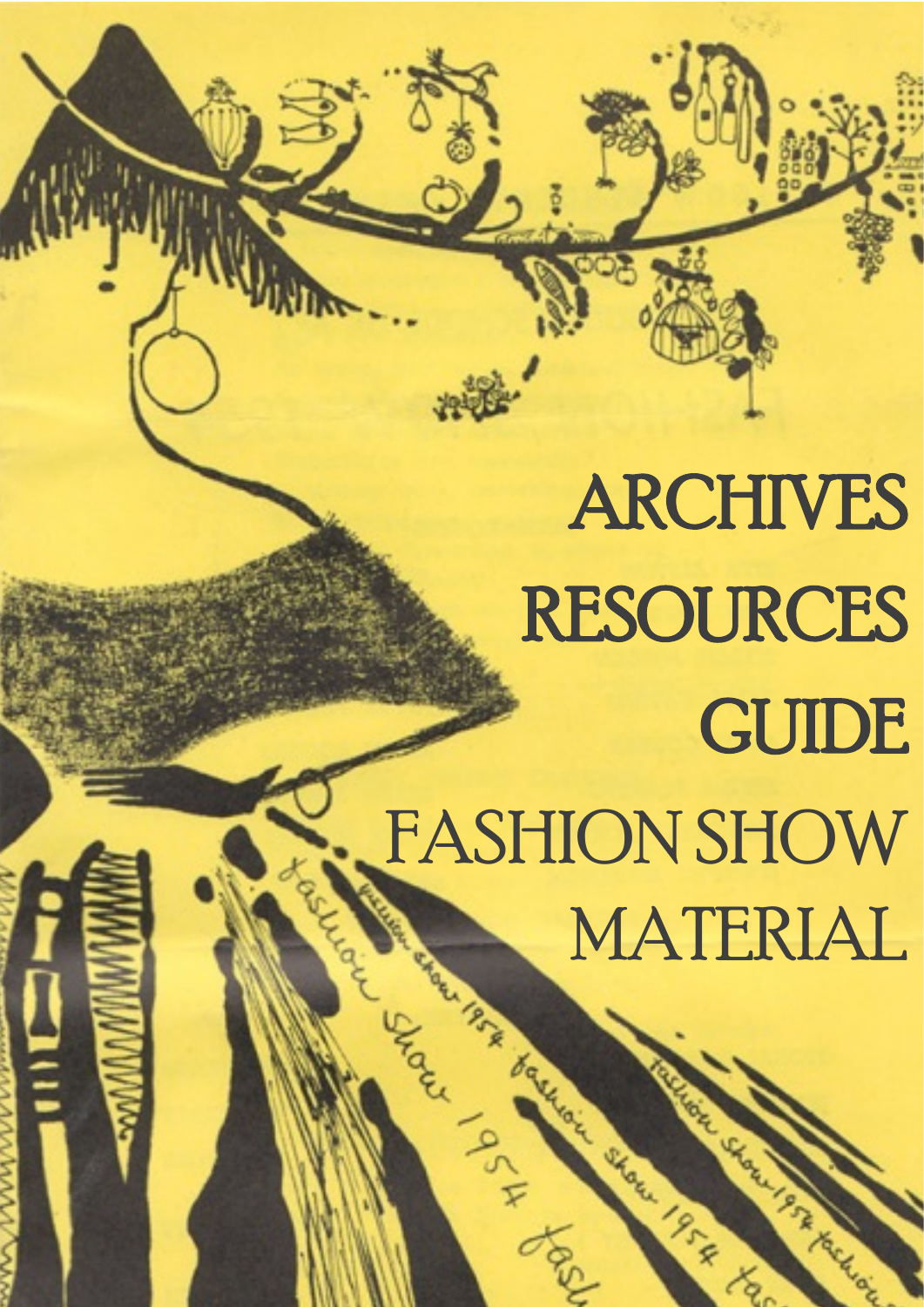# ARCHIVES RESOURCES **GUIDE** FASHION SHOW MATERIAL MATERIAL

Call Local Call Land

 $\underline{\mathbf{0}}$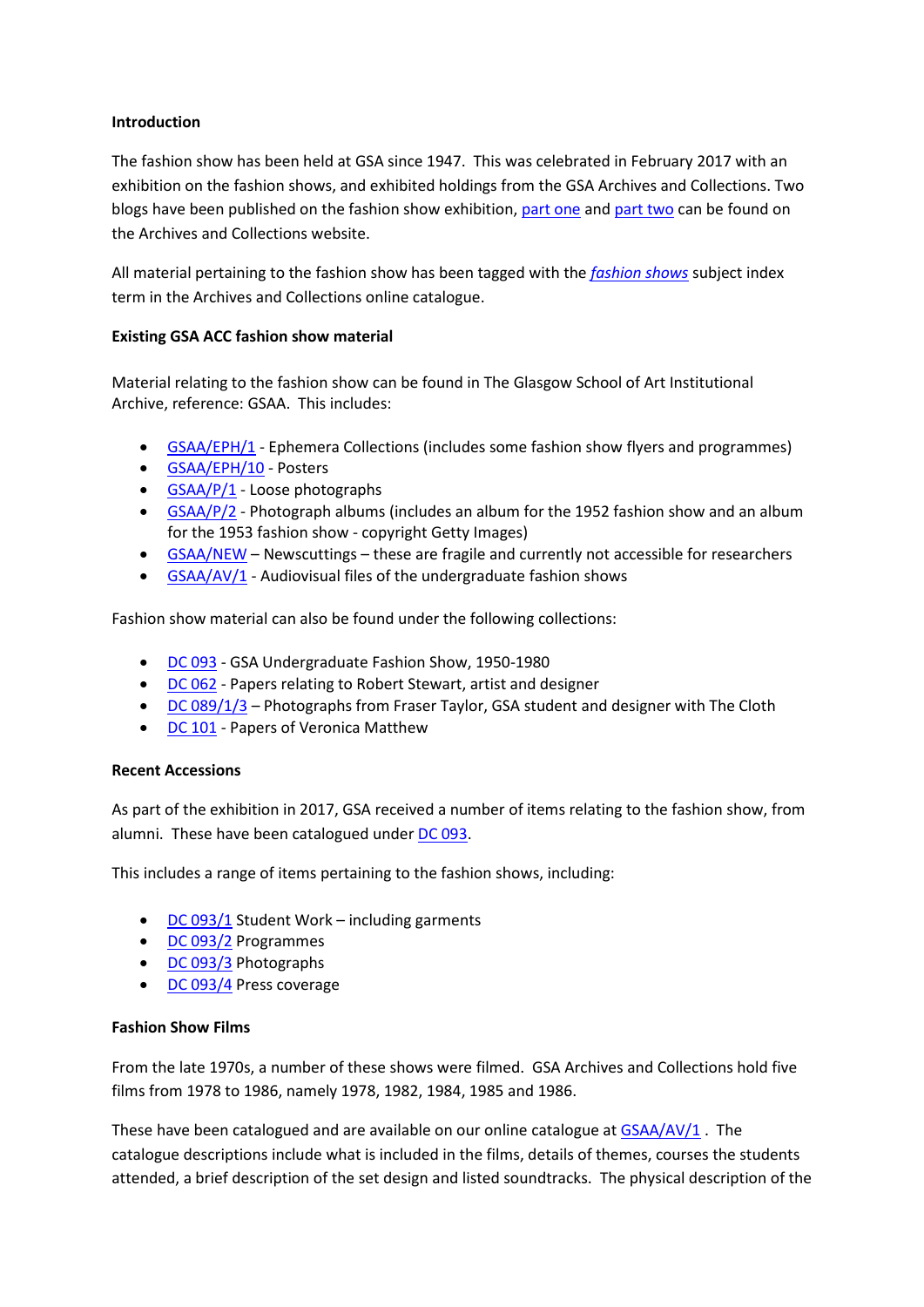# **Introduction**

The fashion show has been held at GSA since 1947. This was celebrated in February 2017 with an exhibition on the fashion shows, and exhibited holdings from the GSA Archives and Collections. Two blogs have been published on the fashion show exhibition, [part one](http://www.gsaarchives.net/2017/03/70-years-gsa-fashion-shows-part-one-1940s-1960s/) and [part two](http://www.gsaarchives.net/2017/03/70-years-gsa-fashion-shows-part-two-1970s-2017/) can be found on the Archives and Collections website.

All material pertaining to the fashion show has been tagged with the *[fashion shows](http://www.gsaarchives.net/archon/index.php?p=core/search&subjectid=1112)* subject index term in the Archives and Collections online catalogue.

# **Existing GSA ACC fashion show material**

Material relating to the fashion show can be found in The Glasgow School of Art Institutional Archive, reference: GSAA. This includes:

- [GSAA/EPH/1](http://www.gsaarchives.net/archon/index.php?p=collections/findingaid&id=392&rootcontentid=443&q=%22GSAA%2FEPH%2F1%22#id444) Ephemera Collections (includes some fashion show flyers and programmes)
- [GSAA/EPH/10](http://www.gsaarchives.net/archon/index.php?p=collections/findingaid&id=392&rootcontentid=443&q=%22GSAA%2FEPH%2F10%22#id453) Posters
- [GSAA/P/1](http://www.gsaarchives.net/archon/index.php?p=collections/findingaid&id=392&rootcontentid=912&q=%22gsaa%2Fp%2F1%22#id913) Loose photographs
- [GSAA/P/2](http://www.gsaarchives.net/archon/index.php?p=collections/findingaid&id=392&rootcontentid=912&q=%22gsaa%2Fp%2F2%22#id2528) Photograph albums (includes an album for the 1952 fashion show and an album for the 1953 fashion show - copyright Getty Images)
- [GSAA/NEW](http://www.gsaarchives.net/archon/index.php?p=collections/findingaid&id=392&rootcontentid=894&q=%22gsaa%2Fnew%22#id894) Newscuttings these are fragile and currently not accessible for researchers
- [GSAA/AV/1](http://www.gsaarchives.net/archon/index.php?p=collections/findingaid&id=392&rootcontentid=17206&q=%22gsaa%2Fav%2F1%22#id17207) Audiovisual files of the undergraduate fashion shows

Fashion show material can also be found under the following collections:

- [DC 093](http://www.gsaarchives.net/archon/index.php?p=collections/findingaid&id=515&q=dc+093) GSA Undergraduate Fashion Show, 1950-1980
- [DC 062](http://www.gsaarchives.net/archon/index.php?p=collections/controlcard&id=443&q=dc+062) Papers relating to Robert Stewart, artist and designer
- [DC 089/1/3](http://www.gsaarchives.net/archon/index.php?p=collections/findingaid&id=499&rootcontentid=16392&q=dc+089%2F1%2F3#id16396) Photographs from Fraser Taylor, GSA student and designer with The Cloth
- [DC 101](http://www.gsaarchives.net/archon/index.php?p=collections/controlcard&id=524&q=dc+101) Papers of Veronica Matthew

## **Recent Accessions**

As part of the exhibition in 2017, GSA received a number of items relating to the fashion show, from alumni. These have been catalogued under [DC 093.](http://www.gsaarchives.net/archon/index.php?p=collections/controlcard&id=515&q=dc+093)

This includes a range of items pertaining to the fashion shows, including:

- [DC 093/1](http://www.gsaarchives.net/archon/index.php?p=collections/findingaid&id=515&rootcontentid=17066&q=dc+093%2F1#id17066) Student Work including garments
- [DC 093/2](http://www.gsaarchives.net/archon/index.php?p=collections/findingaid&id=515&rootcontentid=17067&q=dc+093%2F2#id17067) Programmes
- [DC 093/3](http://www.gsaarchives.net/archon/index.php?p=collections/findingaid&id=515&rootcontentid=17068&q=dc+093%2F3#id17068) Photographs
- [DC 093/4](http://www.gsaarchives.net/archon/index.php?p=collections/findingaid&id=515&rootcontentid=17069&q=dc+093%2F4#id17069) Press coverage

## **Fashion Show Films**

From the late 1970s, a number of these shows were filmed. GSA Archives and Collections hold five films from 1978 to 1986, namely 1978, 1982, 1984, 1985 and 1986.

These have been catalogued and are available on our online catalogue at  $GSAA/AY/1$ . The catalogue descriptions include what is included in the films, details of themes, courses the students attended, a brief description of the set design and listed soundtracks. The physical description of the